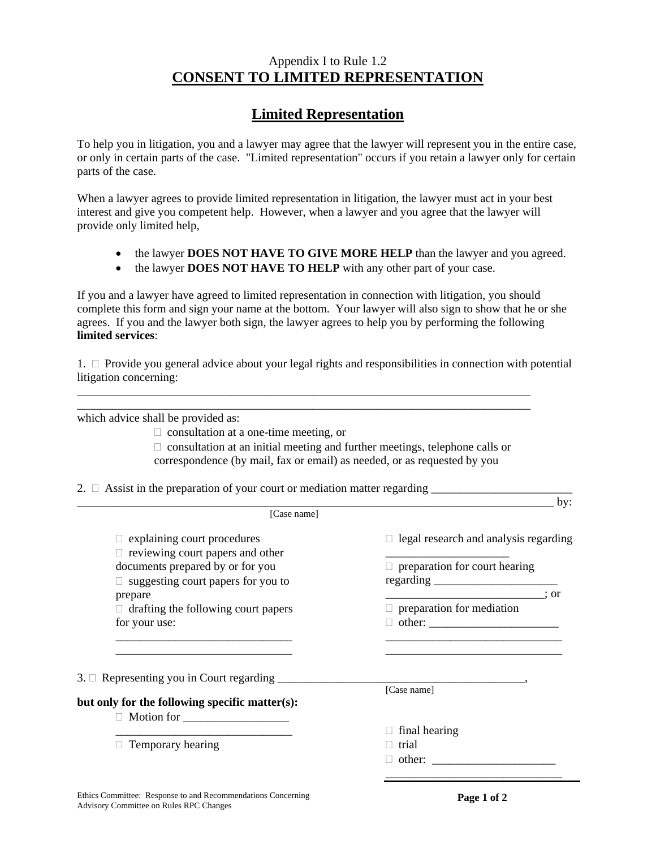## Appendix I to Rule 1.2 **CONSENT TO LIMITED REPRESENTATION**

## **Limited Representation**

To help you in litigation, you and a lawyer may agree that the lawyer will represent you in the entire case, or only in certain parts of the case. "Limited representation" occurs if you retain a lawyer only for certain parts of the case.

When a lawyer agrees to provide limited representation in litigation, the lawyer must act in your best interest and give you competent help. However, when a lawyer and you agree that the lawyer will provide only limited help,

- the lawyer **DOES NOT HAVE TO GIVE MORE HELP** than the lawyer and you agreed.
- the lawyer **DOES NOT HAVE TO HELP** with any other part of your case.

If you and a lawyer have agreed to limited representation in connection with litigation, you should complete this form and sign your name at the bottom. Your lawyer will also sign to show that he or she agrees. If you and the lawyer both sign, the lawyer agrees to help you by performing the following **limited services**:

1.  $\Box$  Provide you general advice about your legal rights and responsibilities in connection with potential litigation concerning:

\_\_\_\_\_\_\_\_\_\_\_\_\_\_\_\_\_\_\_\_\_\_\_\_\_\_\_\_\_\_\_\_\_\_\_\_\_\_\_\_\_\_\_\_\_\_\_\_\_\_\_\_\_\_\_\_\_\_\_\_\_\_\_\_\_\_\_\_\_\_\_\_\_\_\_\_\_ \_\_\_\_\_\_\_\_\_\_\_\_\_\_\_\_\_\_\_\_\_\_\_\_\_\_\_\_\_\_\_\_\_\_\_\_\_\_\_\_\_\_\_\_\_\_\_\_\_\_\_\_\_\_\_\_\_\_\_\_\_\_\_\_\_\_\_\_\_\_\_\_\_\_\_\_\_

which advice shall be provided as:

- $\Box$  consultation at a one-time meeting, or
- $\Box$  consultation at an initial meeting and further meetings, telephone calls or correspondence (by mail, fax or email) as needed, or as requested by you

2.  $\Box$  Assist in the preparation of your court or mediation matter regarding  $\Box$ 

|                                                                               | by:                                                                                                                  |
|-------------------------------------------------------------------------------|----------------------------------------------------------------------------------------------------------------------|
| [Case name]                                                                   |                                                                                                                      |
| $\Box$ explaining court procedures<br>$\Box$ reviewing court papers and other | $\Box$ legal research and analysis regarding                                                                         |
| documents prepared by or for you                                              | $\Box$ preparation for court hearing                                                                                 |
| $\Box$ suggesting court papers for you to                                     | $regarding \_\_\_\_\_\_\_\_$                                                                                         |
| prepare                                                                       | : or                                                                                                                 |
| $\Box$ drafting the following court papers                                    | $\Box$ preparation for mediation                                                                                     |
| for your use:                                                                 |                                                                                                                      |
|                                                                               | <u> 1980 - Johann John Stein, markin fan it ferstjer fan it ferstjer fan it ferstjer fan it ferstjer fan it fers</u> |
|                                                                               |                                                                                                                      |
| 3. $\Box$ Representing you in Court regarding ______                          |                                                                                                                      |
|                                                                               | [Case name]                                                                                                          |
| but only for the following specific matter(s):                                |                                                                                                                      |
| $\Box$ Motion for $\Box$                                                      |                                                                                                                      |
|                                                                               | $\Box$ final hearing                                                                                                 |
| Temporary hearing                                                             | $\Box$ trial                                                                                                         |
|                                                                               | $\Box$ other:                                                                                                        |
|                                                                               |                                                                                                                      |